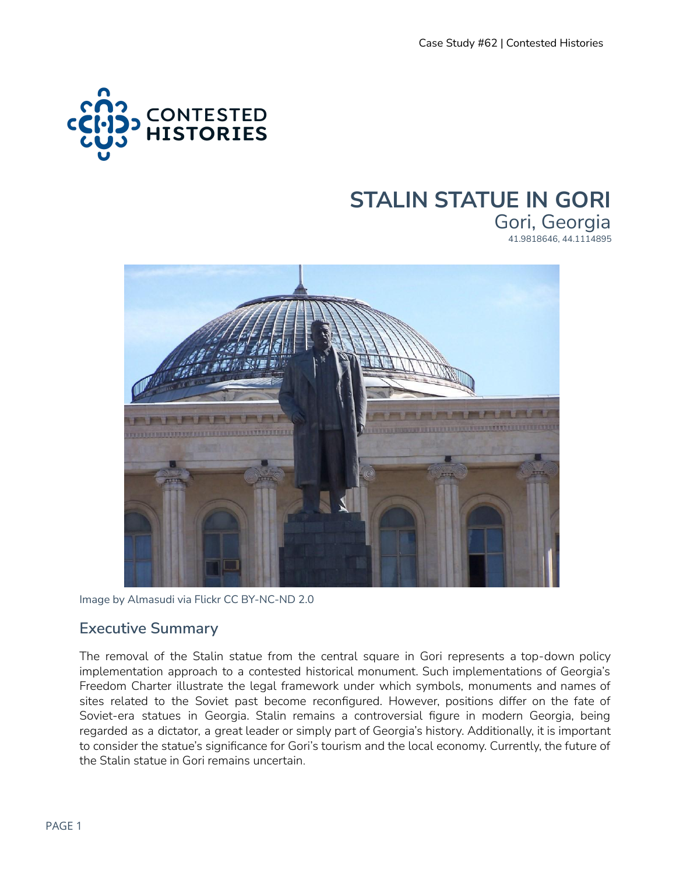

### **STALIN STATUE IN GORI** Gori, Georgia 41.9818646, 44.1114895



Image by Almasudi via Flickr CC BY-NC-ND 2.0

### **Executive Summary**

The removal of the Stalin statue from the central square in Gori represents a top-down policy implementation approach to a contested historical monument. Such implementations of Georgia's Freedom Charter illustrate the legal framework under which symbols, monuments and names of sites related to the Soviet past become reconfigured. However, positions differ on the fate of Soviet-era statues in Georgia. Stalin remains a controversial figure in modern Georgia, being regarded as a dictator, a great leader or simply part of Georgia's history. Additionally, it is important to consider the statue's significance for Gori's tourism and the local economy. Currently, the future of the Stalin statue in Gori remains uncertain.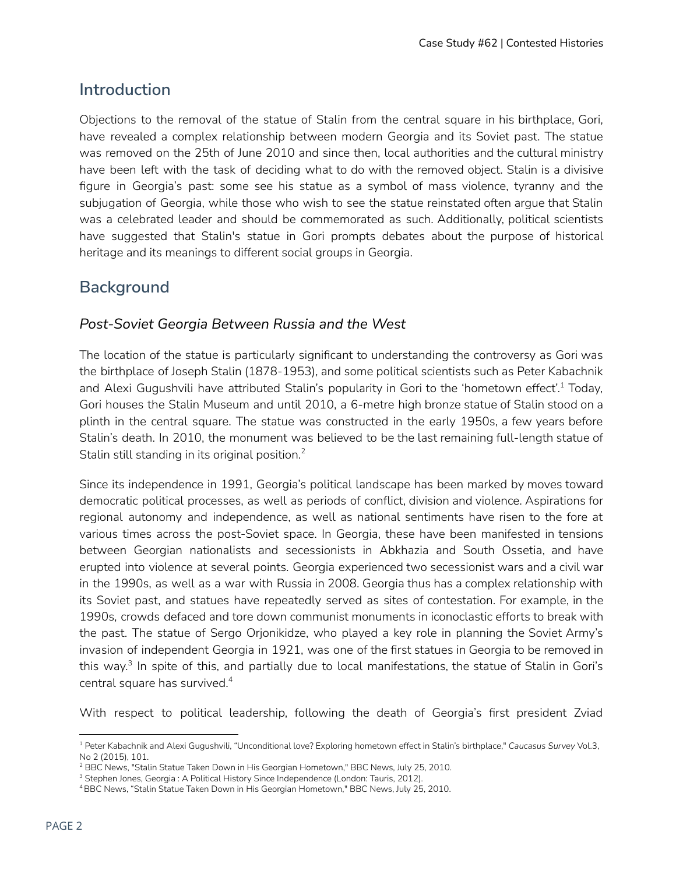# **Introduction**

Objections to the removal of the statue of Stalin from the central square in his birthplace, Gori, have revealed a complex relationship between modern Georgia and its Soviet past. The statue was removed on the 25th of June 2010 and since then, local authorities and the cultural ministry have been left with the task of deciding what to do with the removed object. Stalin is a divisive figure in Georgia's past: some see his statue as a symbol of mass violence, tyranny and the subjugation of Georgia, while those who wish to see the statue reinstated often argue that Stalin was a celebrated leader and should be commemorated as such. Additionally, political scientists have suggested that Stalin's statue in Gori prompts debates about the purpose of historical heritage and its meanings to different social groups in Georgia.

# **Background**

### *Post-Soviet Georgia Between Russia and the West*

The location of the statue is particularly significant to understanding the controversy as Gori was the birthplace of Joseph Stalin (1878-1953), and some political scientists such as Peter Kabachnik and Alexi Gugushvili have attributed Stalin's popularity in Gori to the 'hometown effect'.<sup>1</sup> Today, Gori houses the Stalin Museum and until 2010, a 6-metre high bronze statue of Stalin stood on a plinth in the central square. The statue was constructed in the early 1950s, a few years before Stalin's death. In 2010, the monument was believed to be the last remaining full-length statue of Stalin still standing in its original position. 2

Since its independence in 1991, Georgia's political landscape has been marked by moves toward democratic political processes, as well as periods of conflict, division and violence. Aspirations for regional autonomy and independence, as well as national sentiments have risen to the fore at various times across the post-Soviet space. In Georgia, these have been manifested in tensions between Georgian nationalists and secessionists in Abkhazia and South Ossetia, and have erupted into violence at several points. Georgia experienced two secessionist wars and a civil war in the 1990s, as well as a war with Russia in 2008. Georgia thus has a complex relationship with its Soviet past, and statues have repeatedly served as sites of contestation. For example, in the 1990s, crowds defaced and tore down communist monuments in iconoclastic efforts to break with the past. The statue of Sergo Orjonikidze, who played a key role in planning the Soviet Army's invasion of independent Georgia in 1921, was one of the first statues in Georgia to be removed in this way.<sup>3</sup> In spite of this, and partially due to local manifestations, the statue of Stalin in Gori's central square has survived. 4

With respect to political leadership, following the death of Georgia's first president Zviad

<sup>1</sup> Peter Kabachnik and Alexi Gugushvili, "Unconditional love? Exploring hometown effect in Stalin's birthplace," *Caucasus Survey* Vol.3, No 2 (2015), 101.

<sup>&</sup>lt;sup>2</sup> BBC News, "Stalin Statue Taken Down in His Georgian Hometown," BBC News, July 25, 2010.

<sup>&</sup>lt;sup>3</sup> Stephen Jones, Georgia : A Political History Since Independence (London: Tauris, 2012).

<sup>4</sup>BBC News, "Stalin Statue Taken Down in His Georgian Hometown," BBC News, July 25, 2010.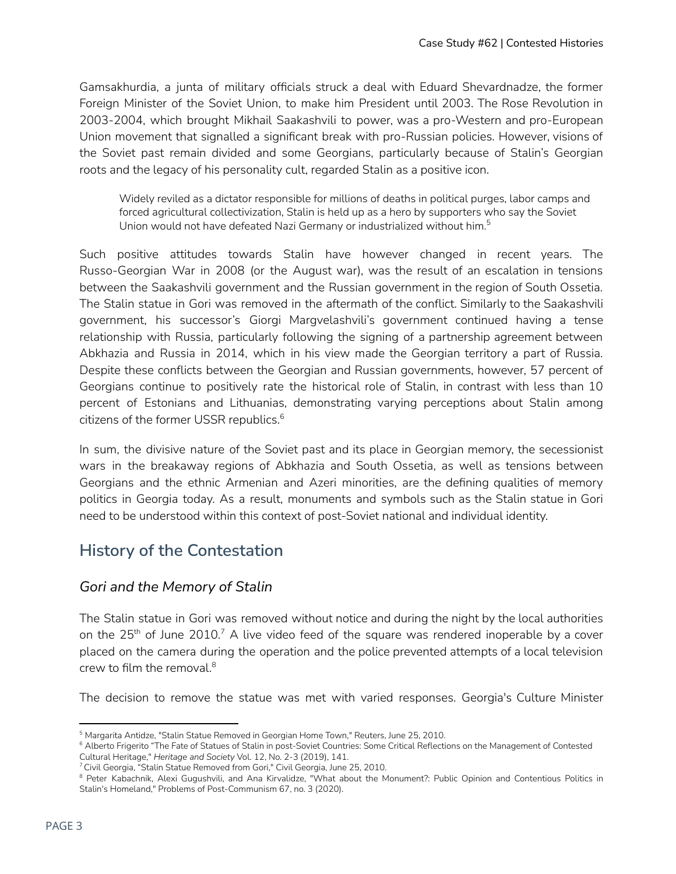Gamsakhurdia, a junta of military officials struck a deal with Eduard Shevardnadze, the former Foreign Minister of the Soviet Union, to make him President until 2003. The Rose Revolution in 2003-2004, which brought Mikhail Saakashvili to power, was a pro-Western and pro-European Union movement that signalled a significant break with pro-Russian policies. However, visions of the Soviet past remain divided and some Georgians, particularly because of Stalin's Georgian roots and the legacy of his personality cult, regarded Stalin as a positive icon.

Widely reviled as a dictator responsible for millions of deaths in political purges, labor camps and forced agricultural collectivization, Stalin is held up as a hero by supporters who say the Soviet Union would not have defeated Nazi Germany or industrialized without him. $^5$ 

Such positive attitudes towards Stalin have however changed in recent years. The Russo-Georgian War in 2008 (or the August war), was the result of an escalation in tensions between the Saakashvili government and the Russian government in the region of South Ossetia. The Stalin statue in Gori was removed in the aftermath of the conflict. Similarly to the Saakashvili government, his successor's Giorgi Margvelashvili's government continued having a tense relationship with Russia, particularly following the signing of a partnership agreement between Abkhazia and Russia in 2014, which in his view made the Georgian territory a part of Russia. Despite these conflicts between the Georgian and Russian governments, however, 57 percent of Georgians continue to positively rate the historical role of Stalin, in contrast with less than 10 percent of Estonians and Lithuanias, demonstrating varying perceptions about Stalin among citizens of the former USSR republics. 6

In sum, the divisive nature of the Soviet past and its place in Georgian memory, the secessionist wars in the breakaway regions of Abkhazia and South Ossetia, as well as tensions between Georgians and the ethnic Armenian and Azeri minorities, are the defining qualities of memory politics in Georgia today. As a result, monuments and symbols such as the Stalin statue in Gori need to be understood within this context of post-Soviet national and individual identity.

# **History of the Contestation**

#### *Gori and the Memory of Stalin*

The Stalin statue in Gori was removed without notice and during the night by the local authorities on the 25<sup>th</sup> of June 2010.<sup>7</sup> A live video feed of the square was rendered inoperable by a cover placed on the camera during the operation and the police prevented attempts of a local television crew to film the removal. 8

The decision to remove the statue was met with varied responses. Georgia's Culture Minister

<sup>&</sup>lt;sup>5</sup> Margarita Antidze, "Stalin Statue Removed in Georgian Home Town," Reuters, June 25, 2010.

<sup>&</sup>lt;sup>6</sup> Alberto Frigerito "The Fate of Statues of Stalin in post-Soviet Countries: Some Critical Reflections on the Management of Contested Cultural Heritage," *Heritage and Society* Vol. 12, No. 2-3 (2019), 141.

<sup>7</sup>Civil Georgia, "Stalin Statue Removed from Gori," Civil Georgia, June 25, 2010[.](https://civil.ge/archives/120321)

<sup>8</sup> Peter Kabachnik, Alexi Gugushvili, and Ana Kirvalidze, "What about the Monument?: Public Opinion and Contentious Politics in Stalin's Homeland," Problems of Post-Communism 67, no. 3 (2020).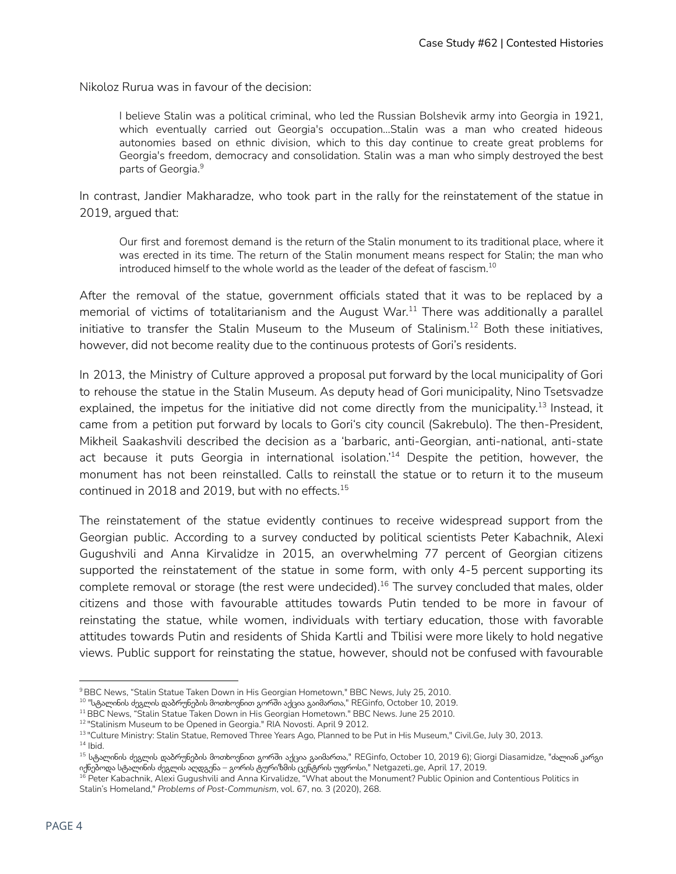Nikoloz Rurua was in favour of the decision:

I believe Stalin was a political criminal, who led the Russian Bolshevik army into Georgia in 1921, which eventually carried out Georgia's occupation...Stalin was a man who created hideous autonomies based on ethnic division, which to this day continue to create great problems for Georgia's freedom, democracy and consolidation. Stalin was a man who simply destroyed the best parts of Georgia. 9

In contrast, Jandier Makharadze, who took part in the rally for the reinstatement of the statue in 2019, argued that:

Our first and foremost demand is the return of the Stalin monument to its traditional place, where it was erected in its time. The return of the Stalin monument means respect for Stalin; the man who introduced himself to the whole world as the leader of the defeat of fascism. $^{\mathrm{10}}$ 

After the removal of the statue, government officials stated that it was to be replaced by a memorial of victims of totalitarianism and the August War. $^{11}$  There was additionally a parallel initiative to transfer the Stalin Museum to the Museum of Stalinism. $^{12}$  Both these initiatives, however, did not become reality due to the continuous protests of Gori's residents.

In 2013, the Ministry of Culture approved a proposal put forward by the local municipality of Gori to rehouse the statue in the Stalin Museum. As deputy head of Gori municipality, Nino Tsetsvadze explained, the impetus for the initiative did not come directly from the municipality.<sup>13</sup> Instead, it came from a petition put forward by locals to Gori's city council (Sakrebulo). The then-President, Mikheil Saakashvili described the decision as a 'barbaric, anti-Georgian, anti-national, anti-state act because it puts Georgia in international isolation.'<sup>14</sup> Despite the petition, however, the monument has not been reinstalled. Calls to reinstall the statue or to return it to the museum continued in 2018 and 2019, but with no effects. $^{15}$ 

The reinstatement of the statue evidently continues to receive widespread support from the Georgian public. According to a survey conducted by political scientists Peter Kabachnik, Alexi Gugushvili and Anna Kirvalidze in 2015, an overwhelming 77 percent of Georgian citizens supported the reinstatement of the statue in some form, with only 4-5 percent supporting its complete removal or storage (the rest were undecided).<sup>16</sup> The survey concluded that males, older citizens and those with favourable attitudes towards Putin tended to be more in favour of reinstating the statue, while women, individuals with tertiary education, those with favorable attitudes towards Putin and residents of Shida Kartli and Tbilisi were more likely to hold negative views. Public support for reinstating the statue, however, should not be confused with favourable

<sup>&</sup>lt;sup>9</sup> BBC News, "Stalin Statue Taken Down in His Georgian Hometown," BBC News, July 25, 2010.

 $^{\rm 10}$  "სტალინის ძეგლის დაბრუნების მოთხოვნით გორში აქცია გაიმართა," REGinfo, October 10, 2019.

<sup>&</sup>lt;sup>11</sup> BBC News, "Stalin Statue Taken Down in His Georgian Hometown." BBC News. June 25 2010.

<sup>12</sup> "Stalinism Museum to be Opened in Georgia." RIA Novosti. April 9 2012.

<sup>13</sup> "Culture Ministry: Stalin Statue, Removed Three Years Ago, Planned to be Put in His Museum," Civil.Ge, July 30, 2013.

 $14$  lbid.

 $^{15}$  სტალინის ძეგლის დაბრუნების მოთხოვნით გორში აქცია გაიმართა," REGinfo, October 10, 2019 6); Giorgi Diasamidze, "ძალიან კარგი იქნებოდა სტალინის ძეგლის აღდგენა – გორის ტურიზმის ცენტრის უფროსი," Netgazeti,.ge, April 17, 2019.

<sup>&</sup>lt;sup>16</sup> Peter Kabachnik, Alexi Gugushvili and Anna Kirvalidze, "What about the Monument? Public Opinion and Contentious Politics in Stalin's Homeland," *Problems of Post-Communism*, vol. 67, no. 3 (2020), 268.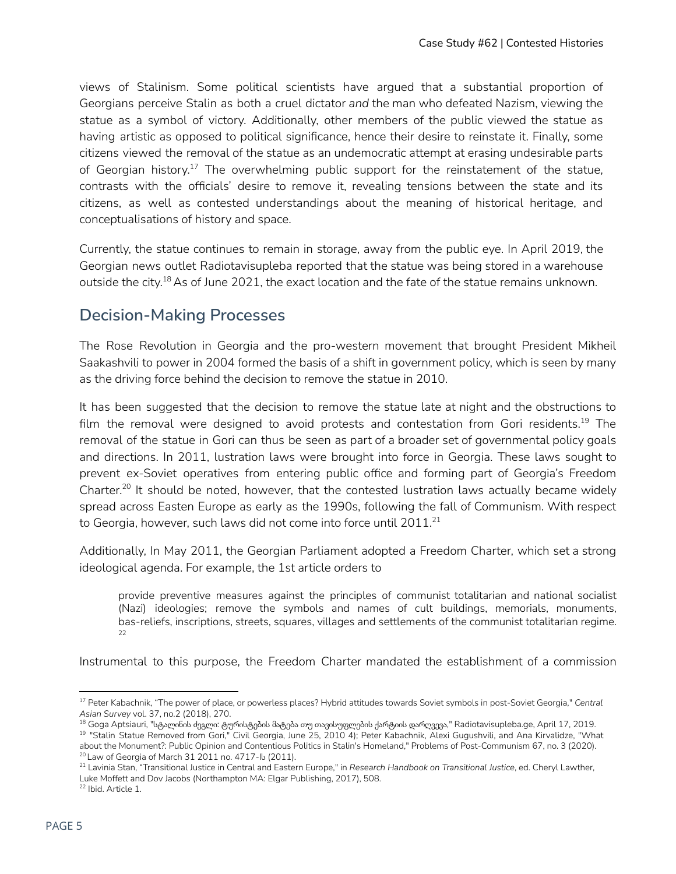views of Stalinism. Some political scientists have argued that a substantial proportion of Georgians perceive Stalin as both a cruel dictator *and* the man who defeated Nazism, viewing the statue as a symbol of victory. Additionally, other members of the public viewed the statue as having artistic as opposed to political significance, hence their desire to reinstate it. Finally, some citizens viewed the removal of the statue as an undemocratic attempt at erasing undesirable parts of Georgian history.<sup>17</sup> The overwhelming public support for the reinstatement of the statue, contrasts with the officials' desire to remove it, revealing tensions between the state and its citizens, as well as contested understandings about the meaning of historical heritage, and conceptualisations of history and space.

Currently, the statue continues to remain in storage, away from the public eye. In April 2019, the Georgian news outlet Radiotavisupleba reported that the statue was being stored in a warehouse outside the city. $^{18}$  As of June 2021, the exact location and the fate of the statue remains unknown.

# **Decision-Making Processes**

The Rose Revolution in Georgia and the pro-western movement that brought President Mikheil Saakashvili to power in 2004 formed the basis of a shift in government policy, which is seen by many as the driving force behind the decision to remove the statue in 2010.

It has been suggested that the decision to remove the statue late at night and the obstructions to film the removal were designed to avoid protests and contestation from Gori residents. $^{19}$  The removal of the statue in Gori can thus be seen as part of a broader set of governmental policy goals and directions. In 2011, lustration laws were brought into force in Georgia. These laws sought to prevent ex-Soviet operatives from entering public office and forming part of Georgia's Freedom Charter.<sup>20</sup> It should be noted, however, that the contested lustration laws actually became widely spread across Easten Europe as early as the 1990s, following the fall of Communism. With respect to Georgia, however, such laws did not come into force until 2011. $^{\mathrm{21}}$ 

Additionally, In May 2011, the Georgian Parliament adopted a Freedom Charter, which set a strong ideological agenda. For example, the 1st article orders to

provide preventive measures against the principles of communist totalitarian and national socialist (Nazi) ideologies; remove the symbols and names of cult buildings, memorials, monuments, bas-reliefs, inscriptions, streets, squares, villages and settlements of the communist totalitarian regime. 22

Instrumental to this purpose, the Freedom Charter mandated the establishment of a commission

<sup>17</sup> Peter Kabachnik, "The power of place, or powerless places? Hybrid attitudes towards Soviet symbols in post-Soviet Georgia," *Central Asian Survey* vol. 37, no.2 (2018), 270.

<sup>20</sup> Law of Georgia of March 31 2011 no. 4717-Iს (2011). 19 "Stalin Statue Removed from Gori," Civil Georgia, June 25, 2010 4); Peter Kabachnik, Alexi Gugushvili, and Ana Kirvalidze, "What about the Monument?: Public Opinion and Contentious Politics in Stalin's Homeland," Problems of Post-Communism 67, no. 3 (2020). <sup>18</sup> Goga Aptsiauri, "სტალინის ძეგლი: ტურისტების მატება თუ თავისუფლების ქარტიის დარღვევა," Radiotavisupleba.ge, April 17, 2019.

<sup>21</sup> Lavinia Stan, "Transitional Justice in Central and Eastern Europe," in *Research Handbook on Transitional Justice*, ed. Cheryl Lawther, Luke Moffett and Dov Jacobs (Northampton MA: Elgar Publishing, 2017), 508.

<sup>22</sup> Ibid. Article 1.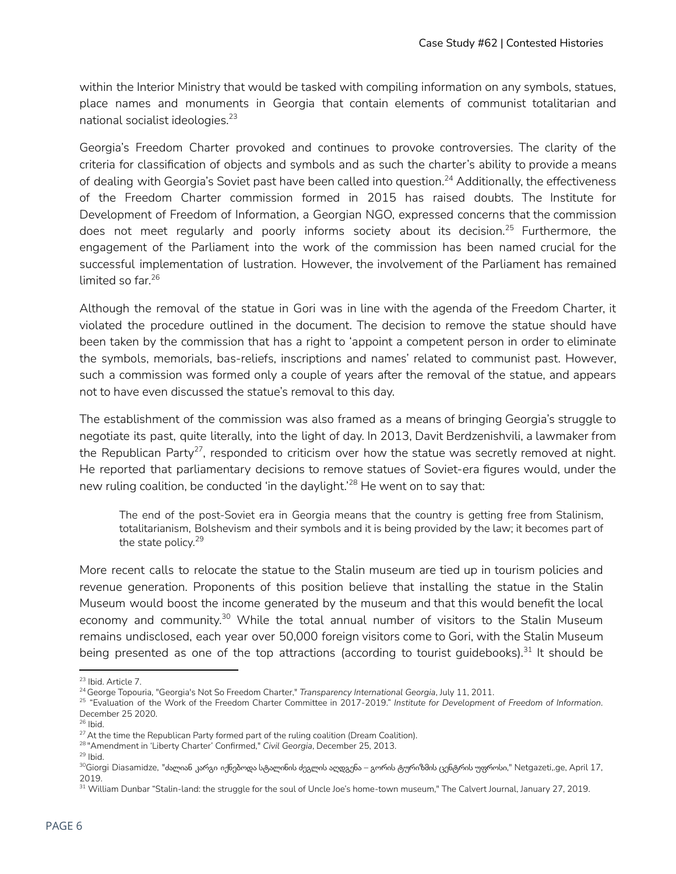within the Interior Ministry that would be tasked with compiling information on any symbols, statues, place names and monuments in Georgia that contain elements of communist totalitarian and national socialist ideologies. 23

Georgia's Freedom Charter provoked and continues to provoke controversies. The clarity of the criteria for classification of objects and symbols and as such the charter's ability to provide a means of dealing with Georgia's Soviet past have been called into question. $^{24}$  Additionally, the effectiveness of the Freedom Charter commission formed in 2015 has raised doubts. The Institute for Development of Freedom of Information, a Georgian NGO, expressed concerns that the commission does not meet regularly and poorly informs society about its decision.<sup>25</sup> Furthermore, the engagement of the Parliament into the work of the commission has been named crucial for the successful implementation of lustration. However, the involvement of the Parliament has remained limited so far. 26

Although the removal of the statue in Gori was in line with the agenda of the Freedom Charter, it violated the procedure outlined in the document. The decision to remove the statue should have been taken by the commission that has a right to 'appoint a competent person in order to eliminate the symbols, memorials, bas-reliefs, inscriptions and names' related to communist past. However, such a commission was formed only a couple of years after the removal of the statue, and appears not to have even discussed the statue's removal to this day.

The establishment of the commission was also framed as a means of bringing Georgia's struggle to negotiate its past, quite literally, into the light of day. In 2013, Davit Berdzenishvili, a lawmaker from the Republican Party<sup>27</sup>, responded to criticism over how the statue was secretly removed at night. He reported that parliamentary decisions to remove statues of Soviet-era figures would, under the new ruling coalition, be conducted 'in the daylight.'<sup>28</sup> He went on to say that:

The end of the post-Soviet era in Georgia means that the country is getting free from Stalinism, totalitarianism, Bolshevism and their symbols and it is being provided by the law; it becomes part of the state policy. 29

More recent calls to relocate the statue to the Stalin museum are tied up in tourism policies and revenue generation. Proponents of this position believe that installing the statue in the Stalin Museum would boost the income generated by the museum and that this would benefit the local economy and community.<sup>30</sup> While the total annual number of visitors to the Stalin Museum remains undisclosed, each year over 50,000 foreign visitors come to Gori, with the Stalin Museum being presented as one of the top attractions (according to tourist guidebooks).<sup>31</sup> It should be

<sup>23</sup> Ibid. Article 7.

<sup>24</sup> George Topouria, "Georgia's Not So Freedom Charter," *Transparency International Georgia*, July 11, 2011.

<sup>25</sup> "Evaluation of the Work of the Freedom Charter Committee in 2017-2019." *Institute for Development of Freedom of Information*. December 25 2020.

<sup>26</sup> Ibid.

<sup>&</sup>lt;sup>27</sup> At the time the Republican Party formed part of the ruling coalition (Dream Coalition).

<sup>28</sup> "Amendment in 'Liberty Charter' Confirmed," *Civil Georgia*, December 25, 2013.

 $29$  lbid.

<sup>30</sup>Giorgi Diasamidze, "ძალიან კარგი იქნებოდა სტალინის ძეგლის აღდგენა – გორის ტურიზმის ცენტრის უფროსი," Netgazeti,.ge, April 17, 2019.

<sup>&</sup>lt;sup>31</sup> William Dunbar "Stalin-land: the struggle for the soul of Uncle Joe's home-town museum," The Calvert Journal, January 27, 2019.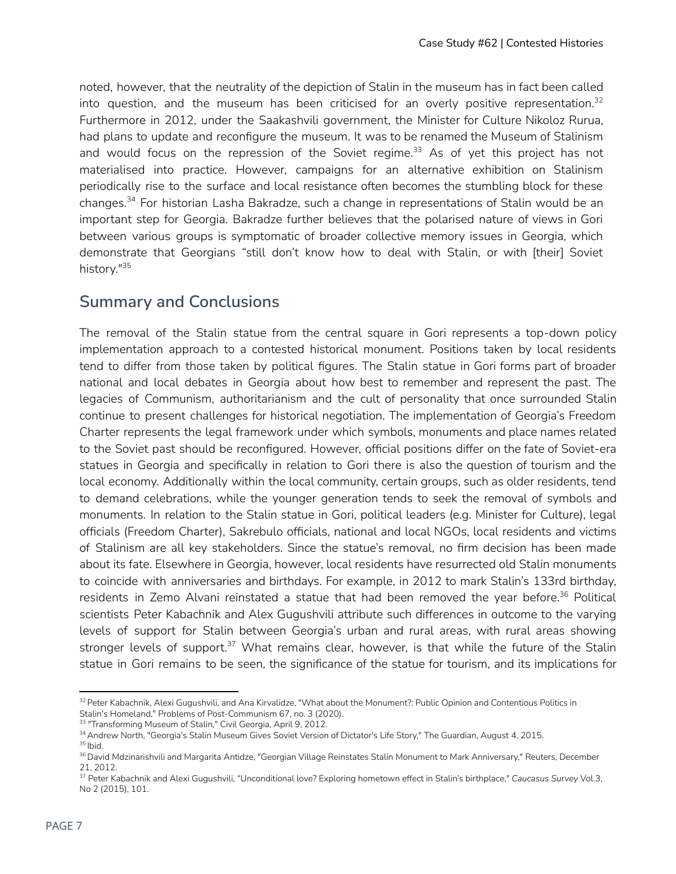noted, however, that the neutrality of the depiction of Stalin in the museum has in fact been called into question, and the museum has been criticised for an overly positive representation. 32 Furthermore in 2012, under the Saakashvili government, the Minister for Culture Nikoloz Rurua, had plans to update and reconfigure the museum. It was to be renamed the Museum of Stalinism and would focus on the repression of the Soviet regime.<sup>33</sup> As of yet this project has not materialised into practice. However, campaigns for an alternative exhibition on Stalinism periodically rise to the surface and local resistance often becomes the stumbling block for these changes.<sup>34</sup> For historian Lasha Bakradze, such a change in representations of Stalin would be an important step for Georgia. Bakradze further believes that the polarised nature of views in Gori between various groups is symptomatic of broader collective memory issues in Georgia, which demonstrate that Georgians "still don't know how to deal with Stalin, or with [their] Soviet history." 35

# **Summary and Conclusions**

The removal of the Stalin statue from the central square in Gori represents a top-down policy implementation approach to a contested historical monument. Positions taken by local residents tend to differ from those taken by political figures. The Stalin statue in Gori forms part of broader national and local debates in Georgia about how best to remember and represent the past. The legacies of Communism, authoritarianism and the cult of personality that once surrounded Stalin continue to present challenges for historical negotiation. The implementation of Georgia's Freedom Charter represents the legal framework under which symbols, monuments and place names related to the Soviet past should be reconfigured. However, official positions differ on the fate of Soviet-era statues in Georgia and specifically in relation to Gori there is also the question of tourism and the local economy. Additionally within the local community, certain groups, such as older residents, tend to demand celebrations, while the younger generation tends to seek the removal of symbols and monuments. In relation to the Stalin statue in Gori, political leaders (e.g. Minister for Culture), legal officials (Freedom Charter), Sakrebulo officials, national and local NGOs, local residents and victims of Stalinism are all key stakeholders. Since the statue's removal, no firm decision has been made about its fate. Elsewhere in Georgia, however, local residents have resurrected old Stalin monuments to coincide with anniversaries and birthdays. For example, in 2012 to mark Stalin's 133rd birthday, residents in Zemo Alvani reinstated a statue that had been removed the year before.<sup>36</sup> Political scientists Peter Kabachnik and Alex Gugushvili attribute such differences in outcome to the varying levels of support for Stalin between Georgia's urban and rural areas, with rural areas showing stronger levels of support.<sup>37</sup> What remains clear, however, is that while the future of the Stalin statue in Gori remains to be seen, the significance of the statue for tourism, and its implications for

<sup>&</sup>lt;sup>32</sup> Peter Kabachnik, Alexi Gugushvili, and Ana Kirvalidze, "What about the Monument?: Public Opinion and Contentious Politics in Stalin's Homeland," Problems of Post-Communism 67, no. 3 (2020).

<sup>&</sup>lt;sup>33</sup> "Transforming Museum of Stalin," Civil Georgia, April 9, 2012.

<sup>&</sup>lt;sup>34</sup> Andrew North, "Georgia's Stalin Museum Gives Soviet Version of Dictator's Life Story," The Guardian, August 4, 2015.

<sup>&</sup>lt;sup>35</sup> Ibid.

<sup>&</sup>lt;sup>36</sup> David Mdzinarishvili and Margarita Antidze, "Georgian Village Reinstates Stalin Monument to Mark Anniversary," Reuters, December 21, 2012.

<sup>37</sup> Peter Kabachnik and Alexi Gugushvili, "Unconditional love? Exploring hometown effect in Stalin's birthplace," *Caucasus Survey* Vol.3, No 2 (2015), 101.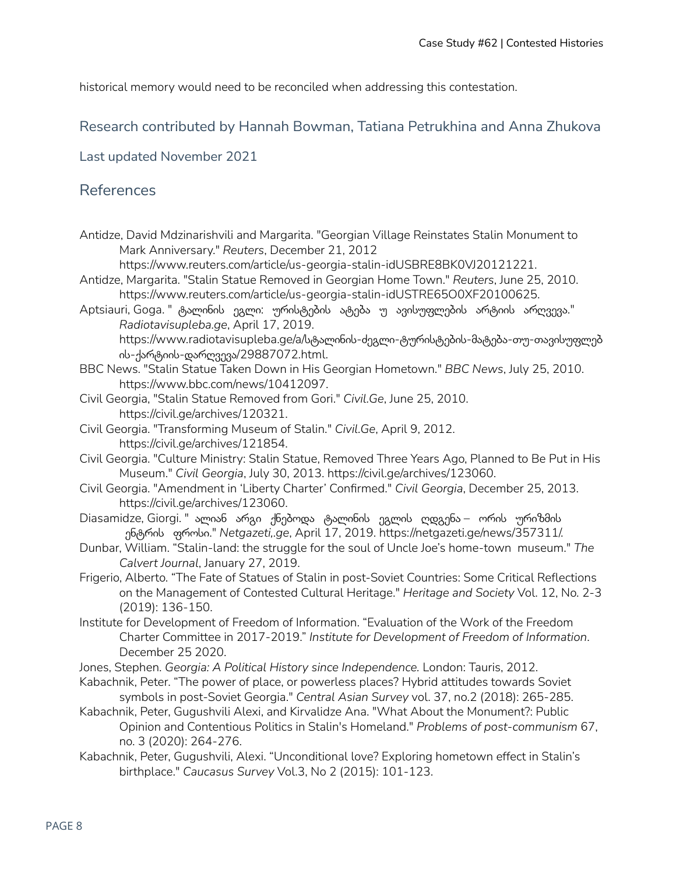historical memory would need to be reconciled when addressing this contestation.

#### Research contributed by Hannah Bowman, Tatiana Petrukhina and Anna Zhukova

Last updated November 2021

### References

Antidze, David Mdzinarishvili and Margarita. "Georgian Village Reinstates Stalin Monument to Mark Anniversary." *Reuters*, December 21, 2012

https://www.reuters.com/article/us-georgia-stalin-idUSBRE8BK0VJ20121221.

- Antidze, Margarita. "Stalin Statue Removed in Georgian Home Town." *Reuters*, June 25, 2010. https://www.reuters.com/article/us-georgia-stalin-idUSTRE65O0XF20100625.
- Aptsiauri, Goga. " ტალინის ეგლი: ურისტების ატება უ ავისუფლების არტიის არღვევა." *Radiotavisupleba.ge*, April 17, 2019.

https://www.radiotavisupleba.ge/a/სტალინის-ძეგლი-ტურისტების-მატება-თუ-თავისუფლებ ის-ქარტიის-დარღვევა/29887072.html.

- BBC News. "Stalin Statue Taken Down in His Georgian Hometown." *BBC News*, July 25, 2010. https://www.bbc.com/news/10412097.
- Civil Georgia, "Stalin Statue Removed from Gori." *Civil.Ge*, June 25, 2010. https://civil.ge/archives/120321.
- Civil Georgia. "Transforming Museum of Stalin." *Civil.Ge*, April 9, 2012. https://civil.ge/archives/121854.
- Civil Georgia. "Culture Ministry: Stalin Statue, Removed Three Years Ago, Planned to Be Put in His Museum." *Civil Georgia*, July 30, 2013. https://civil.ge/archives/123060.
- Civil Georgia. "Amendment in 'Liberty Charter' Confirmed." *Civil Georgia*, December 25, 2013. https://civil.ge/archives/123060.
- Diasamidze, Giorgi. " ალიან არგი ქნებოდა ტალინის ეგლის ღდგენა ორის ურიზმის ენტრის ფროსი." *Netgazeti,.ge*, April 17, 2019. https://netgazeti.ge/news/357311/.
- Dunbar, William. "Stalin-land: the struggle for the soul of Uncle Joe's home-town museum." *The Calvert Journal*, January 27, 2019.
- Frigerio, Alberto. "The Fate of Statues of Stalin in post-Soviet Countries: Some Critical Reflections on the Management of Contested Cultural Heritage." *Heritage and Society* Vol. 12, No. 2-3 (2019): 136-150.
- Institute for Development of Freedom of Information. "Evaluation of the Work of the Freedom Charter Committee in 2017-2019." *Institute for Development of Freedom of Information*. December 25 2020.
- Jones, Stephen. *Georgia: A Political History since Independence.* London: Tauris, 2012.
- Kabachnik, Peter. "The power of place, or powerless places? Hybrid attitudes towards Soviet symbols in post-Soviet Georgia." *Central Asian Survey* vol. 37, no.2 (2018): 265-285.
- Kabachnik, Peter, Gugushvili Alexi, and Kirvalidze Ana. "What About the Monument?: Public Opinion and Contentious Politics in Stalin's Homeland." *Problems of post-communism* 67, no. 3 (2020): 264-276.
- Kabachnik, Peter, Gugushvili, Alexi. "Unconditional love? Exploring hometown effect in Stalin's birthplace." *Caucasus Survey* Vol.3, No 2 (2015): 101-123.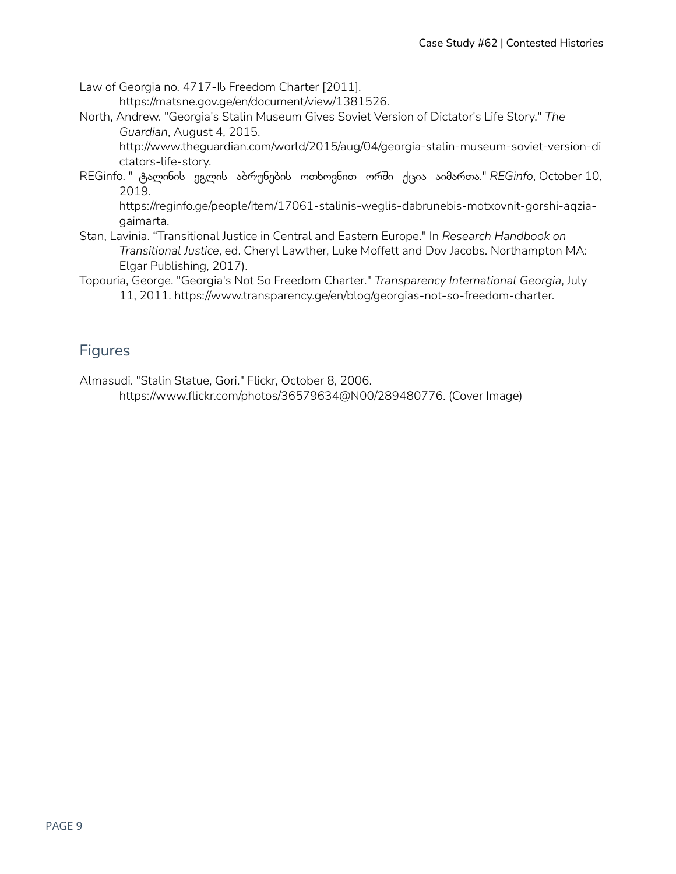Law of Georgia no. 4717-Ib Freedom Charter [2011]. https://matsne.gov.ge/en/document/view/1381526.

North, Andrew. "Georgia's Stalin Museum Gives Soviet Version of Dictator's Life Story." *The Guardian*, August 4, 2015.

http://www.theguardian.com/world/2015/aug/04/georgia-stalin-museum-soviet-version-di ctators-life-story.

REGinfo. " ტალინის ეგლის აბრუნების ოთხოვნით ორში ქცია აიმართა." *REGinfo*, October 10, 2019.

https://reginfo.ge/people/item/17061-stalinis-weglis-dabrunebis-motxovnit-gorshi-aqziagaimarta.

- Stan, Lavinia. "Transitional Justice in Central and Eastern Europe." In *Research Handbook on Transitional Justice*, ed. Cheryl Lawther, Luke Moffett and Dov Jacobs. Northampton MA: Elgar Publishing, 2017).
- Topouria, George. "Georgia's Not So Freedom Charter." *Transparency International Georgia*, July 11, 2011. https://www.transparency.ge/en/blog/georgias-not-so-freedom-charter.

### Figures

Almasudi. "Stalin Statue, Gori." Flickr, October 8, 2006. https://www.flickr.com/photos/36579634@N00/289480776. (Cover Image)